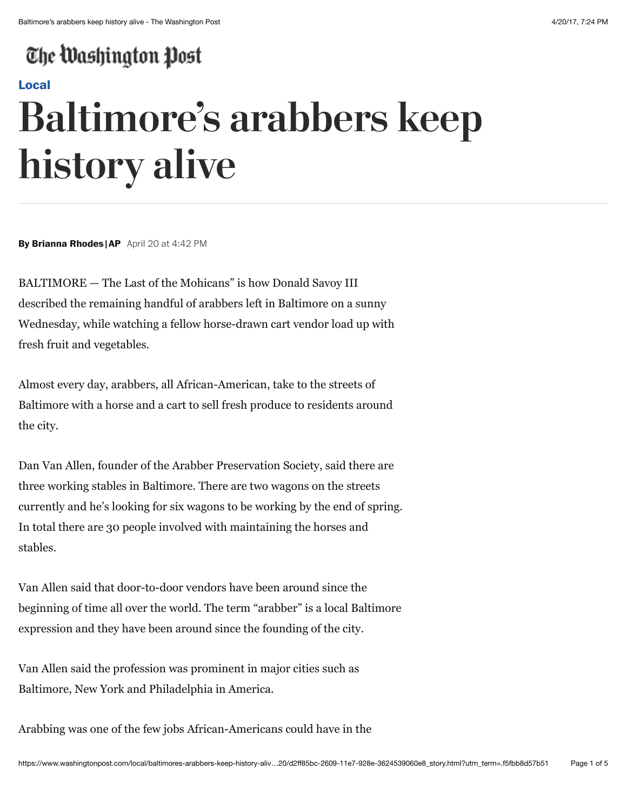## The Washington Post

## **[Local](https://www.washingtonpost.com/local)**

## **Baltimore's arabbers keep history alive**

**By Brianna Rhodes |AP** April 20 at 4:42 PM

BALTIMORE — The Last of the Mohicans" is how Donald Savoy III described the remaining handful of arabbers left in Baltimore on a sunny Wednesday, while watching a fellow horse-drawn cart vendor load up with fresh fruit and vegetables.

Almost every day, arabbers, all African-American, take to the streets of Baltimore with a horse and a cart to sell fresh produce to residents around the city.

Dan Van Allen, founder of the Arabber Preservation Society, said there are three working stables in Baltimore. There are two wagons on the streets currently and he's looking for six wagons to be working by the end of spring. In total there are 30 people involved with maintaining the horses and stables.

Van Allen said that door-to-door vendors have been around since the beginning of time all over the world. The term "arabber" is a local Baltimore expression and they have been around since the founding of the city.

Van Allen said the profession was prominent in major cities such as Baltimore, New York and Philadelphia in America.

Arabbing was one of the few jobs African-Americans could have in the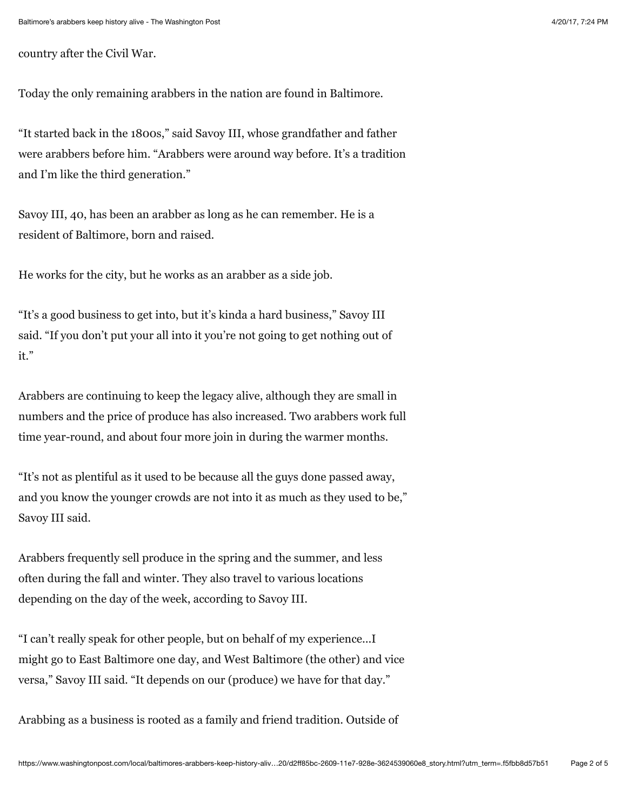country after the Civil War.

Today the only remaining arabbers in the nation are found in Baltimore.

"It started back in the 1800s," said Savoy III, whose grandfather and father were arabbers before him. "Arabbers were around way before. It's a tradition and I'm like the third generation."

Savoy III, 40, has been an arabber as long as he can remember. He is a resident of Baltimore, born and raised.

He works for the city, but he works as an arabber as a side job.

"It's a good business to get into, but it's kinda a hard business," Savoy III said. "If you don't put your all into it you're not going to get nothing out of it."

Arabbers are continuing to keep the legacy alive, although they are small in numbers and the price of produce has also increased. Two arabbers work full time year-round, and about four more join in during the warmer months.

"It's not as plentiful as it used to be because all the guys done passed away, and you know the younger crowds are not into it as much as they used to be," Savoy III said.

Arabbers frequently sell produce in the spring and the summer, and less often during the fall and winter. They also travel to various locations depending on the day of the week, according to Savoy III.

"I can't really speak for other people, but on behalf of my experience...I might go to East Baltimore one day, and West Baltimore (the other) and vice versa," Savoy III said. "It depends on our (produce) we have for that day."

Arabbing as a business is rooted as a family and friend tradition. Outside of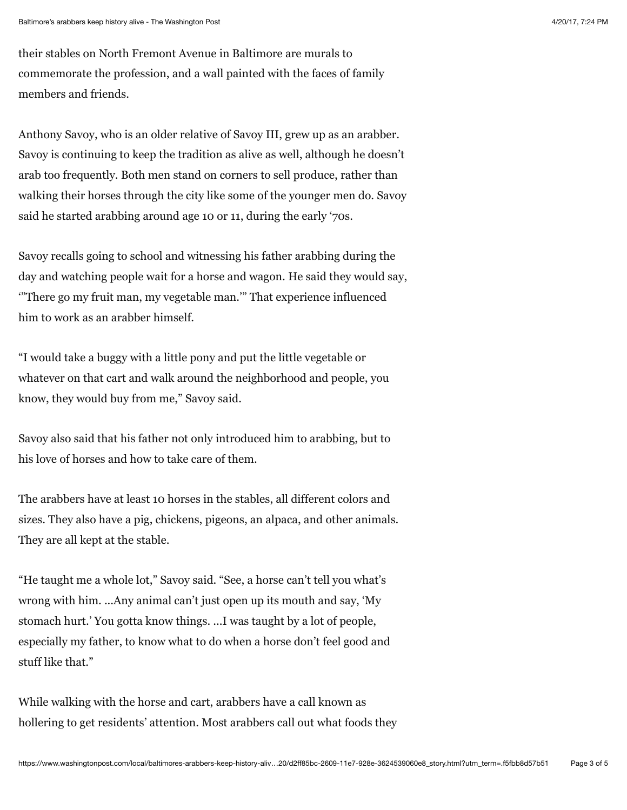their stables on North Fremont Avenue in Baltimore are murals to commemorate the profession, and a wall painted with the faces of family members and friends.

Anthony Savoy, who is an older relative of Savoy III, grew up as an arabber. Savoy is continuing to keep the tradition as alive as well, although he doesn't arab too frequently. Both men stand on corners to sell produce, rather than walking their horses through the city like some of the younger men do. Savoy said he started arabbing around age 10 or 11, during the early '70s.

Savoy recalls going to school and witnessing his father arabbing during the day and watching people wait for a horse and wagon. He said they would say, '"There go my fruit man, my vegetable man.'" That experience influenced him to work as an arabber himself.

"I would take a buggy with a little pony and put the little vegetable or whatever on that cart and walk around the neighborhood and people, you know, they would buy from me," Savoy said.

Savoy also said that his father not only introduced him to arabbing, but to his love of horses and how to take care of them.

The arabbers have at least 10 horses in the stables, all different colors and sizes. They also have a pig, chickens, pigeons, an alpaca, and other animals. They are all kept at the stable.

"He taught me a whole lot," Savoy said. "See, a horse can't tell you what's wrong with him. ...Any animal can't just open up its mouth and say, 'My stomach hurt.' You gotta know things. ...I was taught by a lot of people, especially my father, to know what to do when a horse don't feel good and stuff like that."

While walking with the horse and cart, arabbers have a call known as hollering to get residents' attention. Most arabbers call out what foods they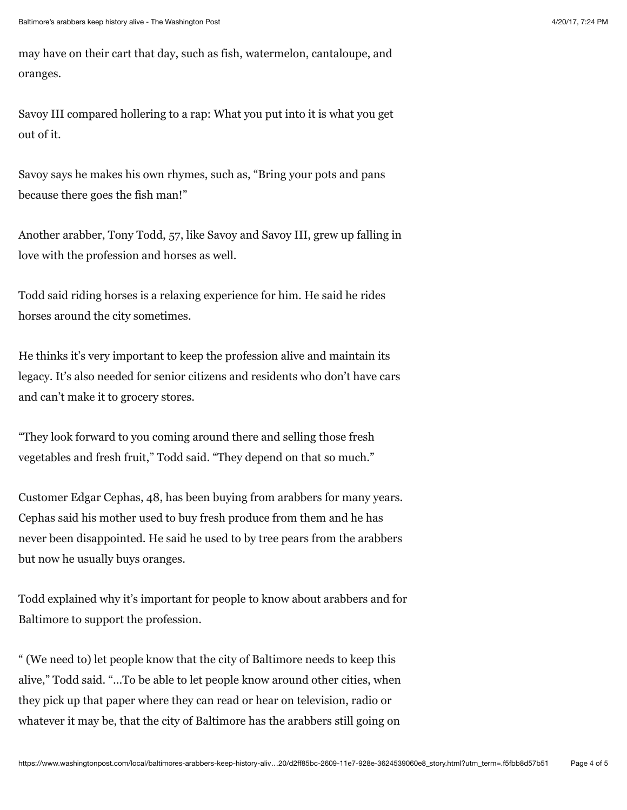may have on their cart that day, such as fish, watermelon, cantaloupe, and oranges.

Savoy III compared hollering to a rap: What you put into it is what you get out of it.

Savoy says he makes his own rhymes, such as, "Bring your pots and pans because there goes the fish man!"

Another arabber, Tony Todd, 57, like Savoy and Savoy III, grew up falling in love with the profession and horses as well.

Todd said riding horses is a relaxing experience for him. He said he rides horses around the city sometimes.

He thinks it's very important to keep the profession alive and maintain its legacy. It's also needed for senior citizens and residents who don't have cars and can't make it to grocery stores.

"They look forward to you coming around there and selling those fresh vegetables and fresh fruit," Todd said. "They depend on that so much."

Customer Edgar Cephas, 48, has been buying from arabbers for many years. Cephas said his mother used to buy fresh produce from them and he has never been disappointed. He said he used to by tree pears from the arabbers but now he usually buys oranges.

Todd explained why it's important for people to know about arabbers and for Baltimore to support the profession.

" (We need to) let people know that the city of Baltimore needs to keep this alive," Todd said. "...To be able to let people know around other cities, when they pick up that paper where they can read or hear on television, radio or whatever it may be, that the city of Baltimore has the arabbers still going on